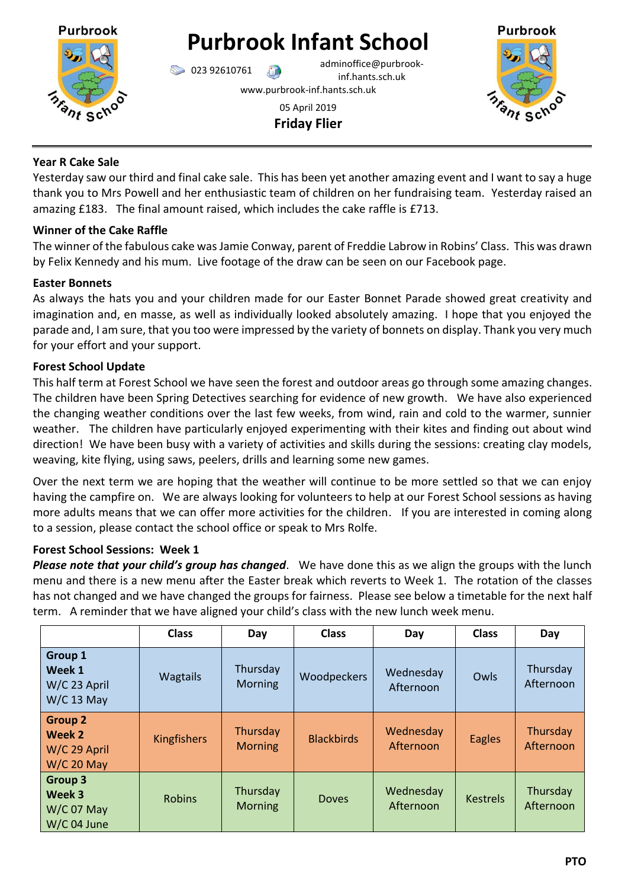

# **Purbrook Infant School**

 $\bigcirc$  023 92610761 adminoffice@purbrookinf.hants.sch.uk

www.purbrook-inf.hants.sch.uk

05 April 2019 **Friday Flier**



## **Year R Cake Sale**

Yesterday saw our third and final cake sale. This has been yet another amazing event and I want to say a huge thank you to Mrs Powell and her enthusiastic team of children on her fundraising team. Yesterday raised an amazing £183. The final amount raised, which includes the cake raffle is £713.

# **Winner of the Cake Raffle**

The winner of the fabulous cake was Jamie Conway, parent of Freddie Labrow in Robins' Class. This was drawn by Felix Kennedy and his mum. Live footage of the draw can be seen on our Facebook page.

# **Easter Bonnets**

As always the hats you and your children made for our Easter Bonnet Parade showed great creativity and imagination and, en masse, as well as individually looked absolutely amazing. I hope that you enjoyed the parade and, I am sure, that you too were impressed by the variety of bonnets on display. Thank you very much for your effort and your support.

# **Forest School Update**

This half term at Forest School we have seen the forest and outdoor areas go through some amazing changes. The children have been Spring Detectives searching for evidence of new growth. We have also experienced the changing weather conditions over the last few weeks, from wind, rain and cold to the warmer, sunnier weather. The children have particularly enjoyed experimenting with their kites and finding out about wind direction! We have been busy with a variety of activities and skills during the sessions: creating clay models, weaving, kite flying, using saws, peelers, drills and learning some new games.

Over the next term we are hoping that the weather will continue to be more settled so that we can enjoy having the campfire on. We are always looking for volunteers to help at our Forest School sessions as having more adults means that we can offer more activities for the children. If you are interested in coming along to a session, please contact the school office or speak to Mrs Rolfe.

# **Forest School Sessions: Week 1**

*Please note that your child's group has changed*. We have done this as we align the groups with the lunch menu and there is a new menu after the Easter break which reverts to Week 1. The rotation of the classes has not changed and we have changed the groups for fairness. Please see below a timetable for the next half term. A reminder that we have aligned your child's class with the new lunch week menu.

|                                                          | <b>Class</b>       | Day                        | <b>Class</b>      | Day                    | <b>Class</b>    | Day                   |
|----------------------------------------------------------|--------------------|----------------------------|-------------------|------------------------|-----------------|-----------------------|
| Group 1<br>Week 1<br>W/C 23 April<br>$W/C$ 13 May        | <b>Wagtails</b>    | Thursday<br>Morning        | Woodpeckers       | Wednesday<br>Afternoon | Owls            | Thursday<br>Afternoon |
| <b>Group 2</b><br>Week 2<br>W/C 29 April<br>$W/C$ 20 May | <b>Kingfishers</b> | Thursday<br><b>Morning</b> | <b>Blackbirds</b> | Wednesday<br>Afternoon | <b>Eagles</b>   | Thursday<br>Afternoon |
| Group 3<br>Week 3<br>$W/C$ 07 May<br>W/C 04 June         | <b>Robins</b>      | Thursday<br><b>Morning</b> | <b>Doves</b>      | Wednesday<br>Afternoon | <b>Kestrels</b> | Thursday<br>Afternoon |